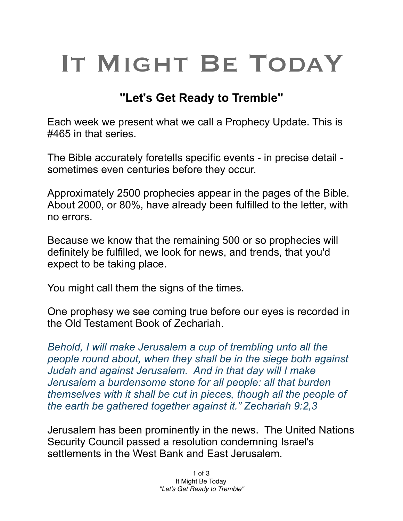## IT MIGHT BE TODAY

## **"Let's Get Ready to Tremble"**

Each week we present what we call a Prophecy Update. This is #465 in that series.

The Bible accurately foretells specific events - in precise detail sometimes even centuries before they occur.

Approximately 2500 prophecies appear in the pages of the Bible. About 2000, or 80%, have already been fulfilled to the letter, with no errors.

Because we know that the remaining 500 or so prophecies will definitely be fulfilled, we look for news, and trends, that you'd expect to be taking place.

You might call them the signs of the times.

One prophesy we see coming true before our eyes is recorded in the Old Testament Book of Zechariah.

*Behold, I will make Jerusalem a cup of trembling unto all the people round about, when they shall be in the siege both against Judah and against Jerusalem. And in that day will I make Jerusalem a burdensome stone for all people: all that burden themselves with it shall be cut in pieces, though all the people of the earth be gathered together against it." Zechariah 9:2,3*

Jerusalem has been prominently in the news. The United Nations Security Council passed a resolution condemning Israel's settlements in the West Bank and East Jerusalem.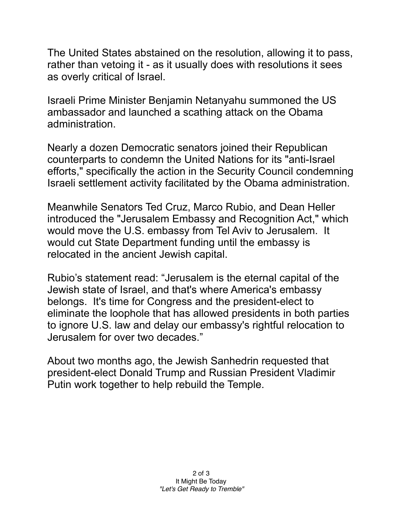The United States abstained on the resolution, allowing it to pass, rather than vetoing it - as it usually does with resolutions it sees as overly critical of Israel.

Israeli Prime Minister Benjamin Netanyahu summoned the US ambassador and launched a scathing attack on the Obama administration.

Nearly a dozen Democratic senators joined their Republican counterparts to condemn the United Nations for its "anti-Israel efforts," specifically the action in the Security Council condemning Israeli settlement activity facilitated by the Obama administration.

Meanwhile Senators Ted Cruz, Marco Rubio, and Dean Heller introduced the "Jerusalem Embassy and Recognition Act," which would move the U.S. embassy from Tel Aviv to Jerusalem. It would cut State Department funding until the embassy is relocated in the ancient Jewish capital.

Rubio's statement read: "Jerusalem is the eternal capital of the Jewish state of Israel, and that's where America's embassy belongs. It's time for Congress and the president-elect to eliminate the loophole that has allowed presidents in both parties to ignore U.S. law and delay our embassy's rightful relocation to Jerusalem for over two decades."

About two months ago, the Jewish Sanhedrin requested that president-elect Donald Trump and Russian President Vladimir Putin work together to help rebuild the Temple.